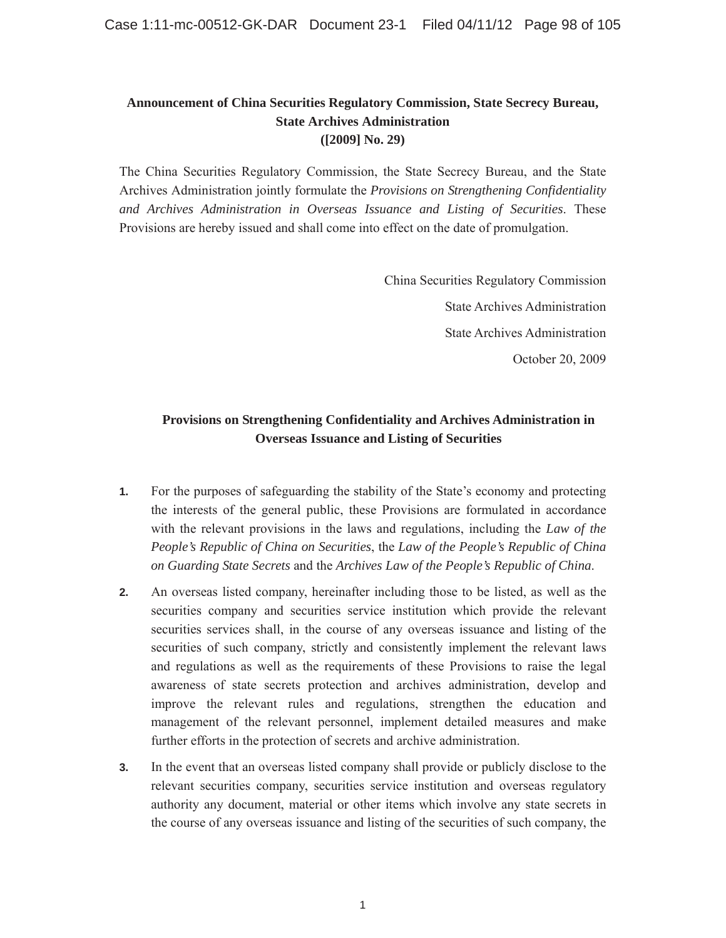## **Announcement of China Securities Regulatory Commission, State Secrecy Bureau, State Archives Administration ([2009] No. 29)**

The China Securities Regulatory Commission, the State Secrecy Bureau, and the State Archives Administration jointly formulate the *Provisions on Strengthening Confidentiality and Archives Administration in Overseas Issuance and Listing of Securities*. These Provisions are hereby issued and shall come into effect on the date of promulgation.

> China Securities Regulatory Commission State Archives Administration State Archives Administration October 20, 2009

## **Provisions on Strengthening Confidentiality and Archives Administration in Overseas Issuance and Listing of Securities**

- **1.** For the purposes of safeguarding the stability of the State's economy and protecting the interests of the general public, these Provisions are formulated in accordance with the relevant provisions in the laws and regulations, including the *Law of the People's Republic of China on Securities*, the *Law of the People's Republic of China on Guarding State Secrets* and the *Archives Law of the People's Republic of China*.
- **2.** An overseas listed company, hereinafter including those to be listed, as well as the securities company and securities service institution which provide the relevant securities services shall, in the course of any overseas issuance and listing of the securities of such company, strictly and consistently implement the relevant laws and regulations as well as the requirements of these Provisions to raise the legal awareness of state secrets protection and archives administration, develop and improve the relevant rules and regulations, strengthen the education and management of the relevant personnel, implement detailed measures and make further efforts in the protection of secrets and archive administration.
- **3.** In the event that an overseas listed company shall provide or publicly disclose to the relevant securities company, securities service institution and overseas regulatory authority any document, material or other items which involve any state secrets in the course of any overseas issuance and listing of the securities of such company, the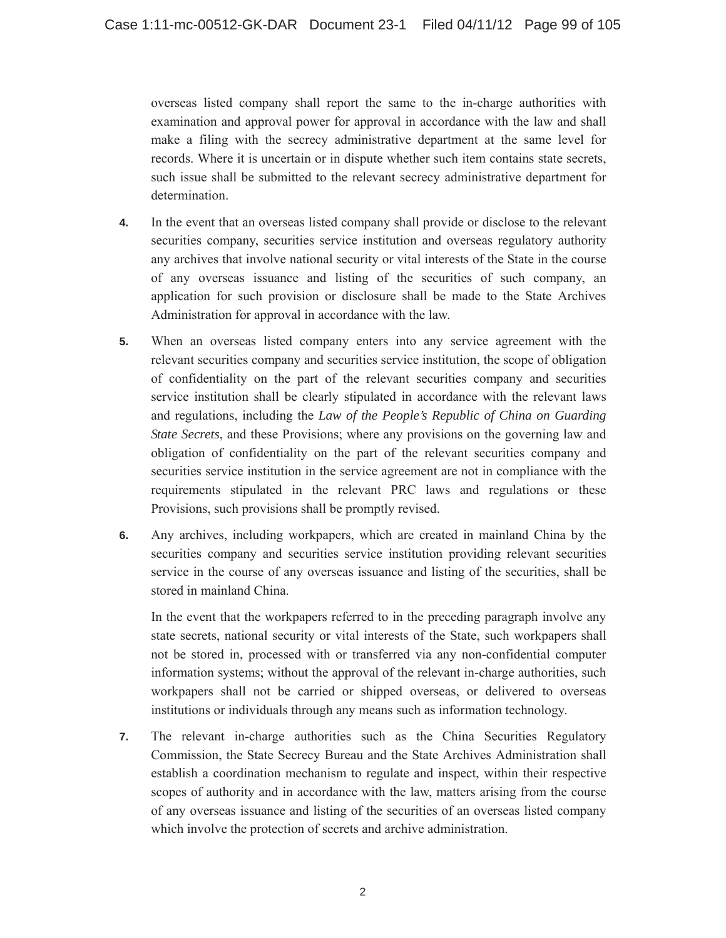overseas listed company shall report the same to the in-charge authorities with examination and approval power for approval in accordance with the law and shall make a filing with the secrecy administrative department at the same level for records. Where it is uncertain or in dispute whether such item contains state secrets, such issue shall be submitted to the relevant secrecy administrative department for determination.

- **4.** In the event that an overseas listed company shall provide or disclose to the relevant securities company, securities service institution and overseas regulatory authority any archives that involve national security or vital interests of the State in the course of any overseas issuance and listing of the securities of such company, an application for such provision or disclosure shall be made to the State Archives Administration for approval in accordance with the law.
- **5.** When an overseas listed company enters into any service agreement with the relevant securities company and securities service institution, the scope of obligation of confidentiality on the part of the relevant securities company and securities service institution shall be clearly stipulated in accordance with the relevant laws and regulations, including the *Law of the People's Republic of China on Guarding State Secrets*, and these Provisions; where any provisions on the governing law and obligation of confidentiality on the part of the relevant securities company and securities service institution in the service agreement are not in compliance with the requirements stipulated in the relevant PRC laws and regulations or these Provisions, such provisions shall be promptly revised.
- **6.** Any archives, including workpapers, which are created in mainland China by the securities company and securities service institution providing relevant securities service in the course of any overseas issuance and listing of the securities, shall be stored in mainland China.

In the event that the workpapers referred to in the preceding paragraph involve any state secrets, national security or vital interests of the State, such workpapers shall not be stored in, processed with or transferred via any non-confidential computer information systems; without the approval of the relevant in-charge authorities, such workpapers shall not be carried or shipped overseas, or delivered to overseas institutions or individuals through any means such as information technology.

**7.** The relevant in-charge authorities such as the China Securities Regulatory Commission, the State Secrecy Bureau and the State Archives Administration shall establish a coordination mechanism to regulate and inspect, within their respective scopes of authority and in accordance with the law, matters arising from the course of any overseas issuance and listing of the securities of an overseas listed company which involve the protection of secrets and archive administration.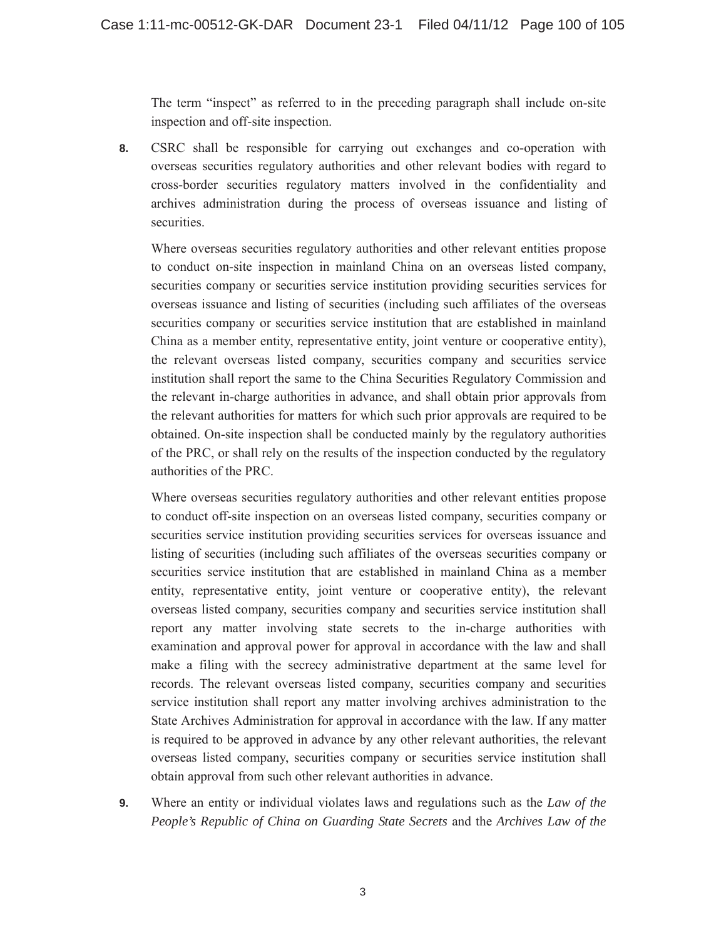The term "inspect" as referred to in the preceding paragraph shall include on-site inspection and off-site inspection.

**8.** CSRC shall be responsible for carrying out exchanges and co-operation with overseas securities regulatory authorities and other relevant bodies with regard to cross-border securities regulatory matters involved in the confidentiality and archives administration during the process of overseas issuance and listing of securities.

Where overseas securities regulatory authorities and other relevant entities propose to conduct on-site inspection in mainland China on an overseas listed company, securities company or securities service institution providing securities services for overseas issuance and listing of securities (including such affiliates of the overseas securities company or securities service institution that are established in mainland China as a member entity, representative entity, joint venture or cooperative entity), the relevant overseas listed company, securities company and securities service institution shall report the same to the China Securities Regulatory Commission and the relevant in-charge authorities in advance, and shall obtain prior approvals from the relevant authorities for matters for which such prior approvals are required to be obtained. On-site inspection shall be conducted mainly by the regulatory authorities of the PRC, or shall rely on the results of the inspection conducted by the regulatory authorities of the PRC.

Where overseas securities regulatory authorities and other relevant entities propose to conduct off-site inspection on an overseas listed company, securities company or securities service institution providing securities services for overseas issuance and listing of securities (including such affiliates of the overseas securities company or securities service institution that are established in mainland China as a member entity, representative entity, joint venture or cooperative entity), the relevant overseas listed company, securities company and securities service institution shall report any matter involving state secrets to the in-charge authorities with examination and approval power for approval in accordance with the law and shall make a filing with the secrecy administrative department at the same level for records. The relevant overseas listed company, securities company and securities service institution shall report any matter involving archives administration to the State Archives Administration for approval in accordance with the law. If any matter is required to be approved in advance by any other relevant authorities, the relevant overseas listed company, securities company or securities service institution shall obtain approval from such other relevant authorities in advance.

**9.** Where an entity or individual violates laws and regulations such as the *Law of the People's Republic of China on Guarding State Secrets* and the *Archives Law of the*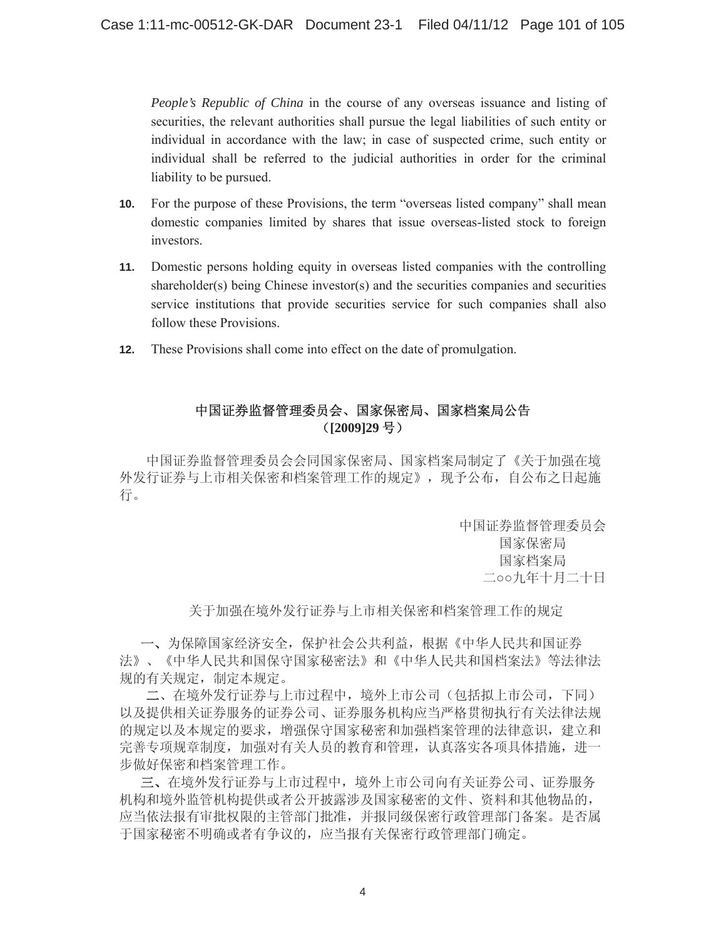*People's Republic of China* in the course of any overseas issuance and listing of securities, the relevant authorities shall pursue the legal liabilities of such entity or individual in accordance with the law; in case of suspected crime, such entity or individual shall be referred to the judicial authorities in order for the criminal liability to be pursued.

- $10.$ For the purpose of these Provisions, the term "overseas listed company" shall mean domestic companies limited by shares that issue overseas-listed stock to foreign investors.
- Domestic persons holding equity in overseas listed companies with the controlling  $11.$ shareholder(s) being Chinese investor(s) and the securities companies and securities service institutions that provide securities service for such companies shall also follow these Provisions
- These Provisions shall come into effect on the date of promulgation.  $12.$

## 中国证券监督管理委员会、国家保密局、国家档案局公告 ([2009]29号)

中国证券监督管理委员会会同国家保密局、国家档案局制定了《关于加强在境 外发行证券与上市相关保密和档案管理工作的规定》, 现予公布, 自公布之日起施 行。

> 中国证券监督管理委员会 国家保密局 国家档案局 二oo九年十月二十日

关于加强在境外发行证券与上市相关保密和档案管理工作的规定

一、为保障国家经济安全, 保护社会公共利益, 根据《中华人民共和国证券 法》、《中华人民共和国保守国家秘密法》和《中华人民共和国档案法》等法律法 规的有关规定, 制定本规定。

二、在境外发行证券与上市过程中,境外上市公司(包括拟上市公司,下同) 以及提供相关证券服务的证券公司、证券服务机构应当严格贯彻执行有关法律法规 的规定以及本规定的要求, 增强保守国家秘密和加强档案管理的法律意识, 建立和 完善专项规章制度, 加强对有关人员的教育和管理, 认真落实各项具体措施, 进一 步做好保密和档案管理工作。

三、在境外发行证券与上市过程中,境外上市公司向有关证券公司、证券服务 机构和境外监管机构提供或者公开披露涉及国家秘密的文件、资料和其他物品的, 应当依法报有审批权限的主管部门批准,并报同级保密行政管理部门备案。是否属 于国家秘密不明确或者有争议的, 应当报有关保密行政管理部门确定。